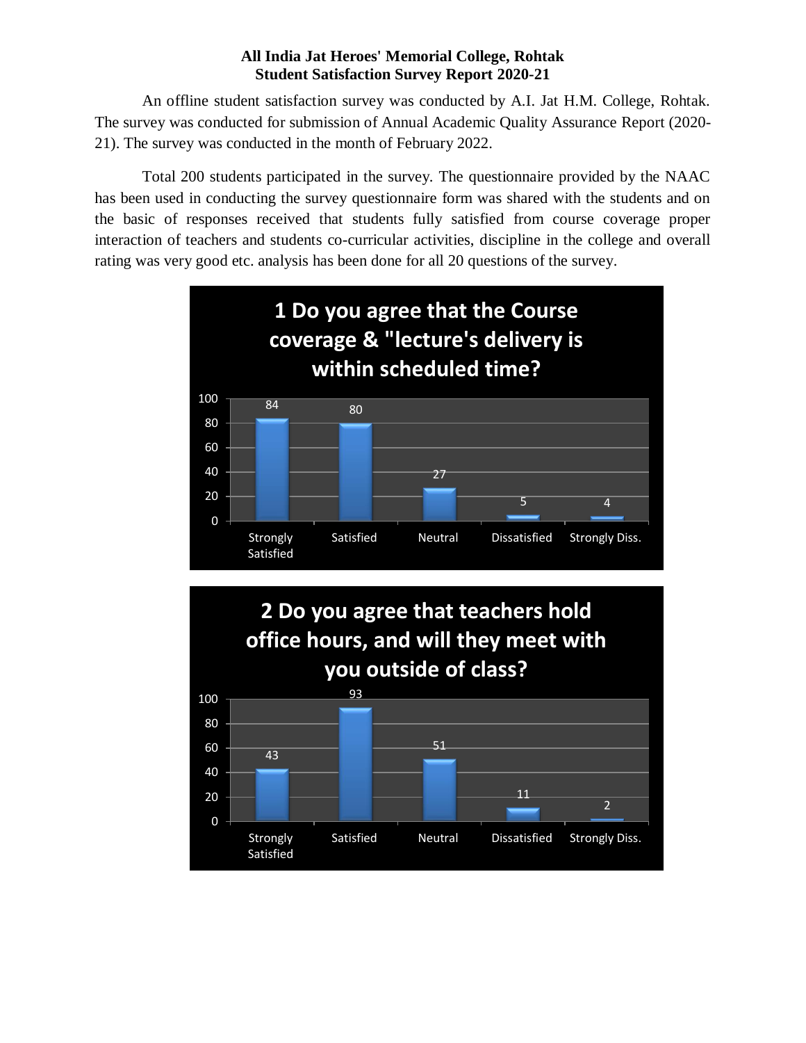#### **All India Jat Heroes' Memorial College, Rohtak Student Satisfaction Survey Report 2020-21**

An offline student satisfaction survey was conducted by A.I. Jat H.M. College, Rohtak. The survey was conducted for submission of Annual Academic Quality Assurance Report (2020- 21). The survey was conducted in the month of February 2022.

Total 200 students participated in the survey. The questionnaire provided by the NAAC has been used in conducting the survey questionnaire form was shared with the students and on the basic of responses received that students fully satisfied from course coverage proper interaction of teachers and students co-curricular activities, discipline in the college and overall rating was very good etc. analysis has been done for all 20 questions of the survey.

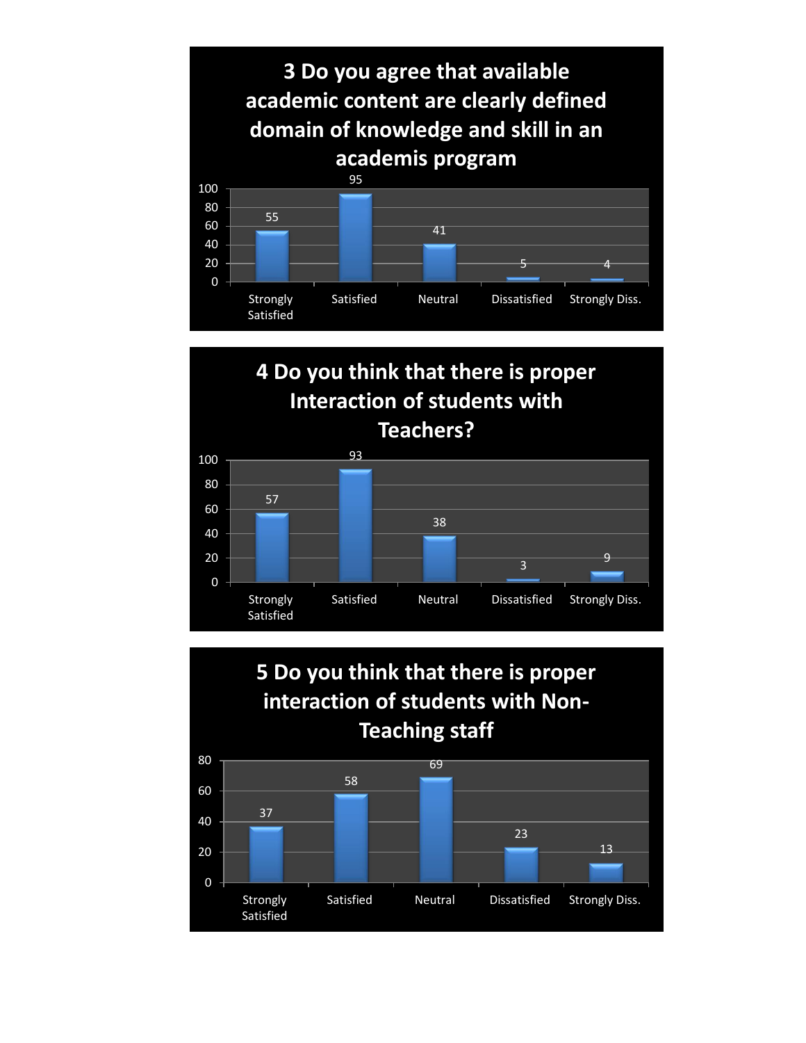

## **4 Do you think that there is proper Interaction of students with Teachers?**



**5 Do you think that there is proper interaction of students with Non-Teaching staff**

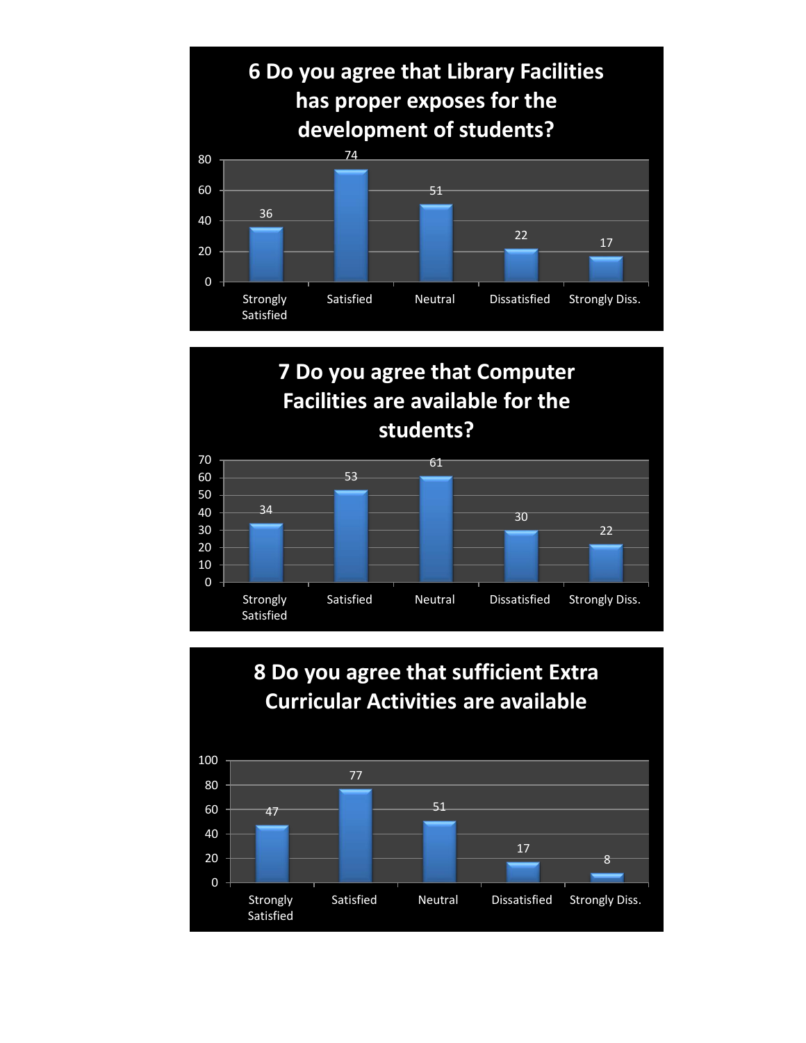

## **7 Do you agree that Computer Facilities are available for the students?**



### **8 Do you agree that sufficient Extra Curricular Activities are available**

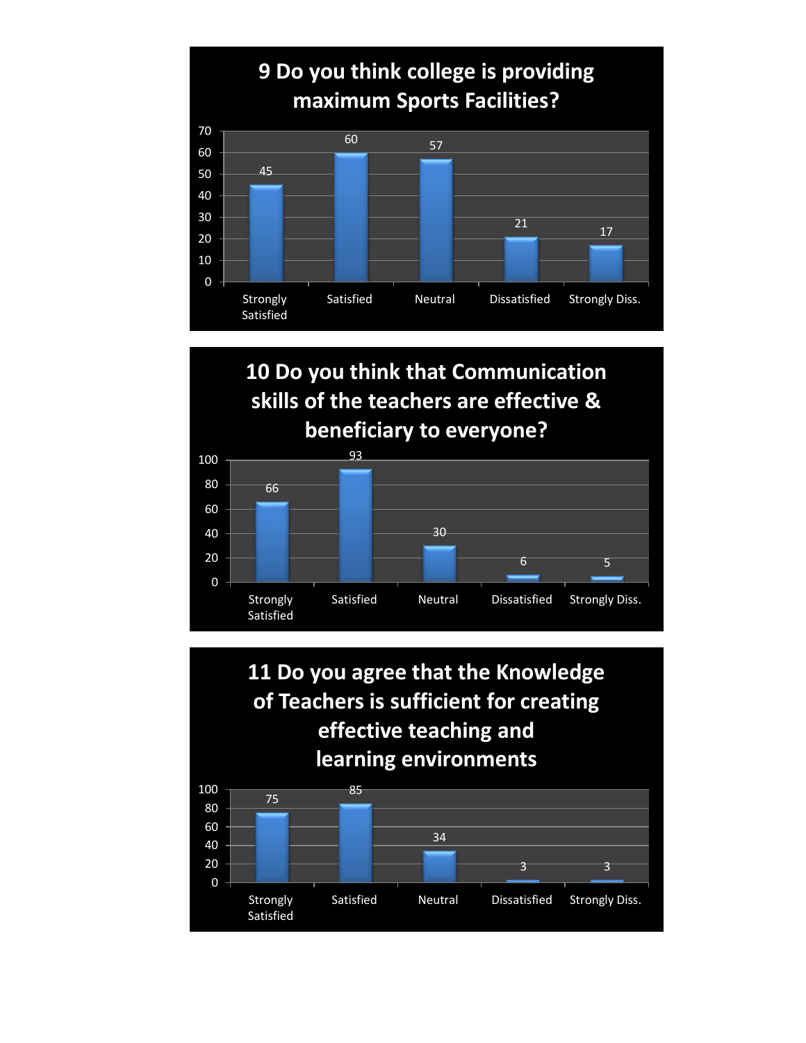

## **10 Do you think that Communication skills of the teachers are effective & beneficiary to everyone?**



**11 Do you agree that the Knowledge of Teachers is sufficient for creating effective teaching and learning environments**

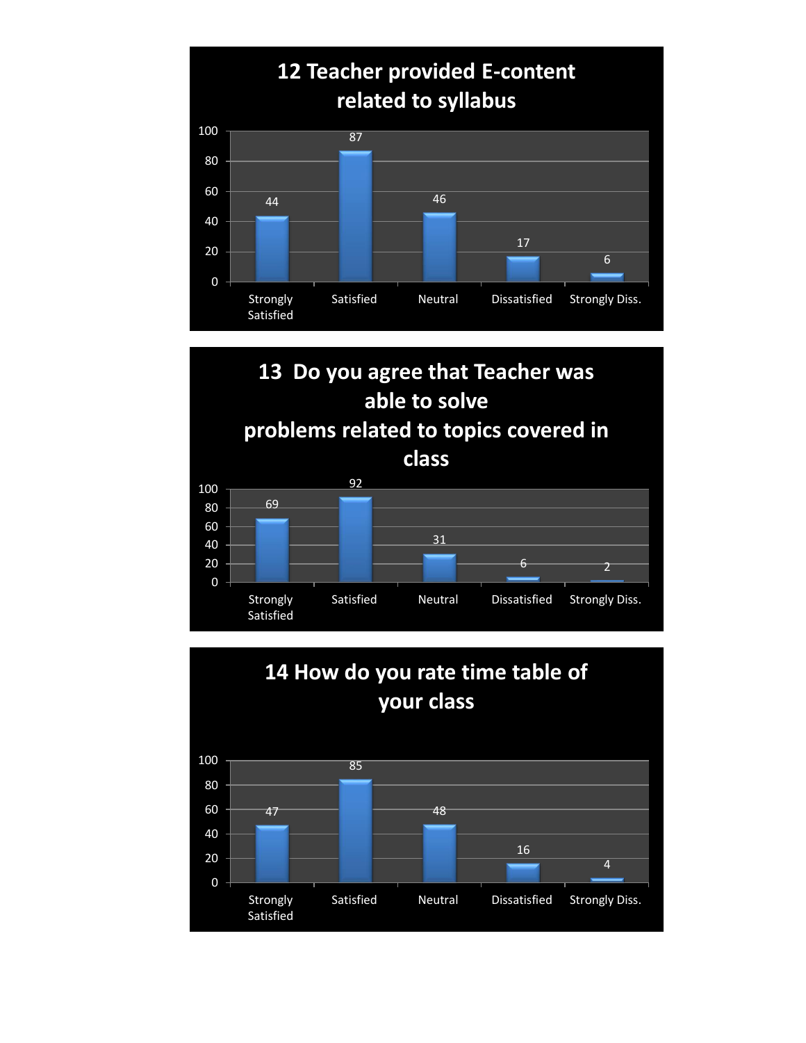





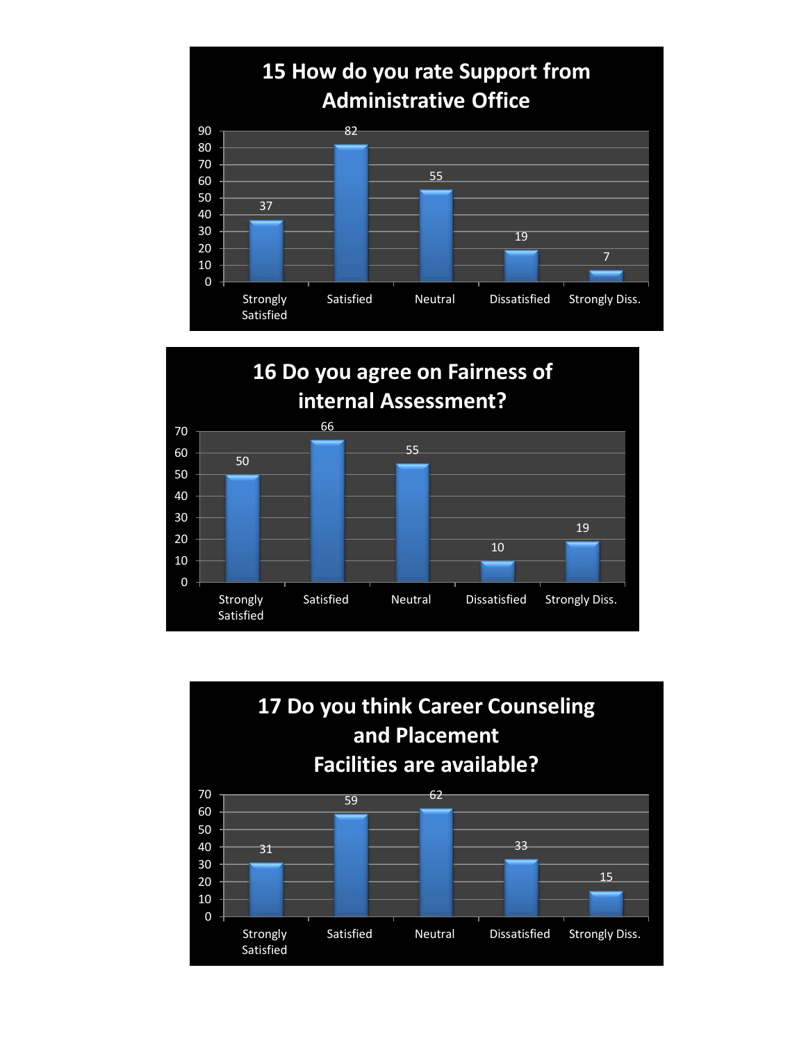



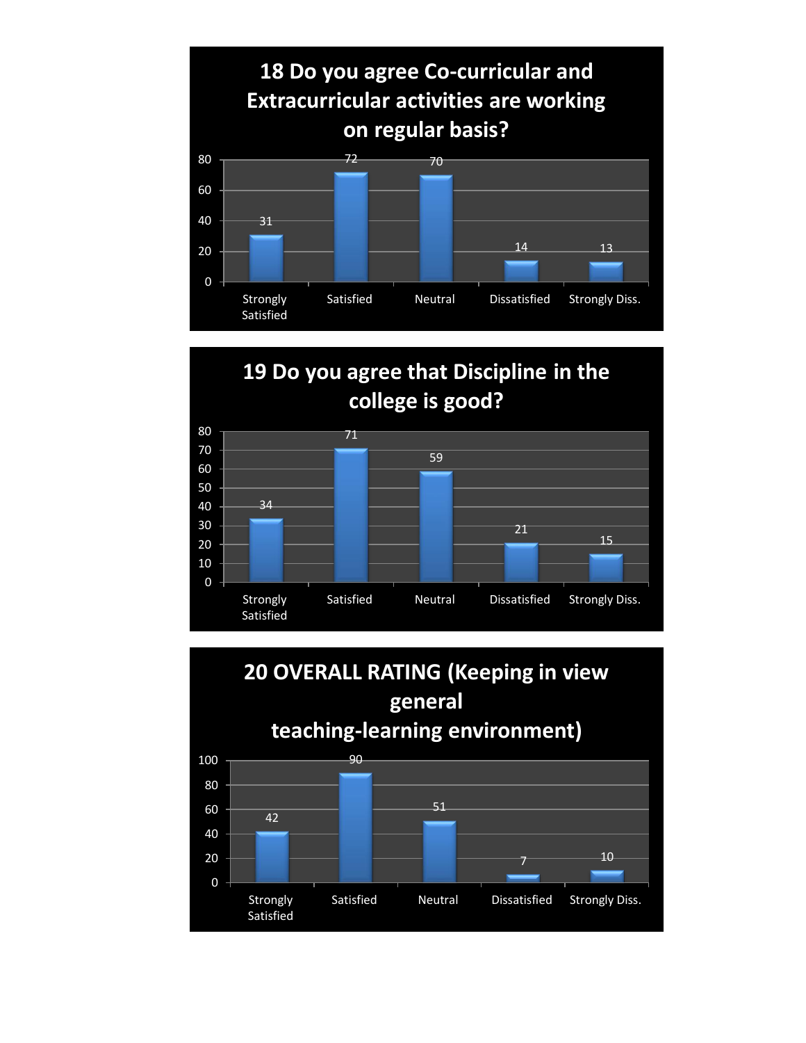

# **19 Do you agree that Discipline in the college is good?**



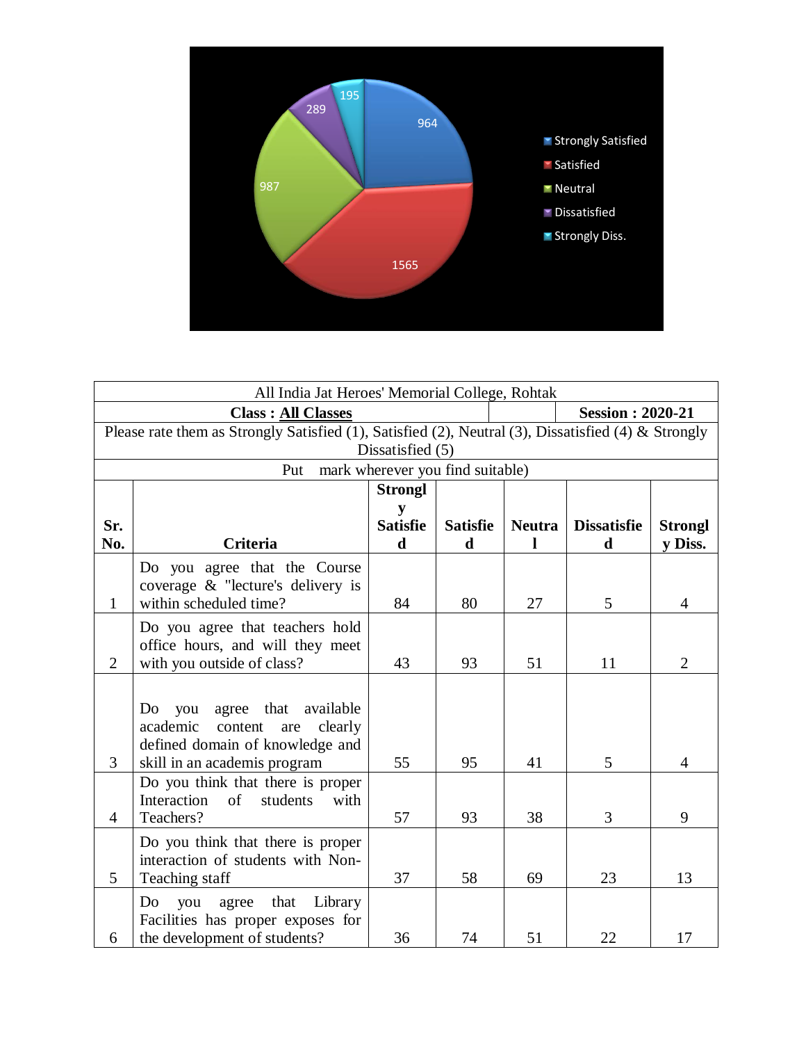

| All India Jat Heroes' Memorial College, Rohtak                                                      |                                             |                 |                 |                         |                    |                |  |  |  |  |
|-----------------------------------------------------------------------------------------------------|---------------------------------------------|-----------------|-----------------|-------------------------|--------------------|----------------|--|--|--|--|
|                                                                                                     | <b>Class: All Classes</b>                   |                 |                 | <b>Session: 2020-21</b> |                    |                |  |  |  |  |
| Please rate them as Strongly Satisfied (1), Satisfied (2), Neutral (3), Dissatisfied (4) & Strongly |                                             |                 |                 |                         |                    |                |  |  |  |  |
| Dissatisfied (5)                                                                                    |                                             |                 |                 |                         |                    |                |  |  |  |  |
| mark wherever you find suitable)<br>Put                                                             |                                             |                 |                 |                         |                    |                |  |  |  |  |
|                                                                                                     |                                             | <b>Strongl</b>  |                 |                         |                    |                |  |  |  |  |
|                                                                                                     |                                             | y               |                 |                         |                    |                |  |  |  |  |
| Sr.                                                                                                 |                                             | <b>Satisfie</b> | <b>Satisfie</b> | <b>Neutra</b>           | <b>Dissatisfie</b> | <b>Strongl</b> |  |  |  |  |
| No.                                                                                                 | <b>Criteria</b>                             | $\mathbf d$     | $\mathbf d$     |                         | $\mathbf d$        | y Diss.        |  |  |  |  |
|                                                                                                     | Do you agree that the Course                |                 |                 |                         |                    |                |  |  |  |  |
|                                                                                                     | coverage & "lecture's delivery is           |                 |                 |                         |                    |                |  |  |  |  |
| $\mathbf{1}$                                                                                        | within scheduled time?                      | 84              | 80              | 27                      | 5                  | $\overline{4}$ |  |  |  |  |
|                                                                                                     | Do you agree that teachers hold             |                 |                 |                         |                    |                |  |  |  |  |
|                                                                                                     | office hours, and will they meet            |                 |                 |                         |                    |                |  |  |  |  |
| $\overline{2}$                                                                                      | with you outside of class?                  | 43              | 93              | 51                      | 11                 | $\overline{2}$ |  |  |  |  |
|                                                                                                     |                                             |                 |                 |                         |                    |                |  |  |  |  |
|                                                                                                     | agree that<br>available<br>Do<br>you        |                 |                 |                         |                    |                |  |  |  |  |
|                                                                                                     | academic<br>content<br>clearly<br>are       |                 |                 |                         |                    |                |  |  |  |  |
|                                                                                                     | defined domain of knowledge and             |                 |                 |                         |                    |                |  |  |  |  |
| 3                                                                                                   | skill in an academis program                | 55              | 95              | 41                      | 5                  | 4              |  |  |  |  |
|                                                                                                     | Do you think that there is proper           |                 |                 |                         |                    |                |  |  |  |  |
|                                                                                                     | Interaction<br>$\sigma$<br>students<br>with |                 |                 |                         |                    |                |  |  |  |  |
| $\overline{4}$                                                                                      | Teachers?                                   | 57              | 93              | 38                      | 3                  | 9              |  |  |  |  |
|                                                                                                     | Do you think that there is proper           |                 |                 |                         |                    |                |  |  |  |  |
|                                                                                                     | interaction of students with Non-           |                 |                 |                         |                    |                |  |  |  |  |
| 5                                                                                                   | Teaching staff                              | 37              | 58              | 69                      | 23                 | 13             |  |  |  |  |
|                                                                                                     | agree that<br>Do<br>you<br>Library          |                 |                 |                         |                    |                |  |  |  |  |
|                                                                                                     | Facilities has proper exposes for           |                 |                 |                         |                    |                |  |  |  |  |
| 6                                                                                                   | the development of students?                | 36              | 74              | 51                      | 22                 | 17             |  |  |  |  |